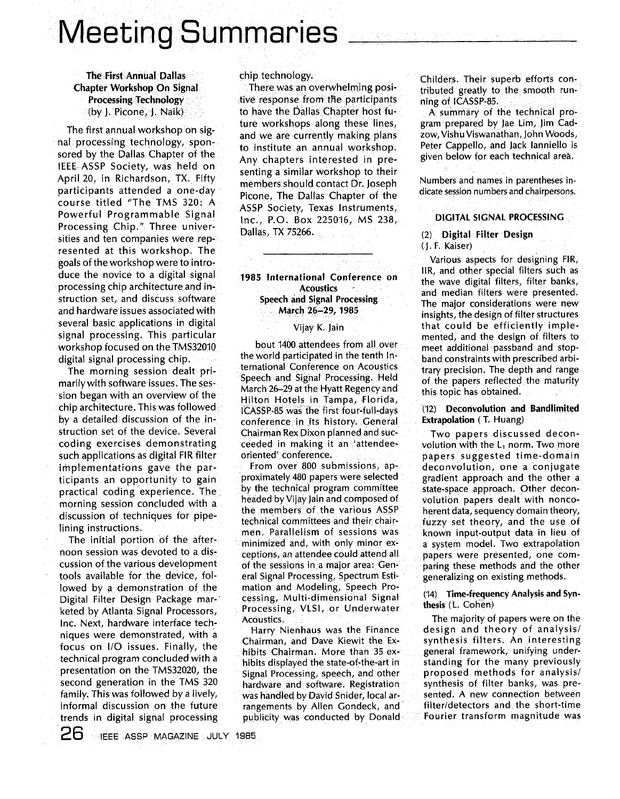# **Meeting Summaries**

# **The First Annual Dallas Chapter Workshop On Signal Processing Technology** (by J. Picone, J. Naik)

The first annual workshop on signal processing technology, sponsored by the Dallas Chapter of the IEEE ASSP Society, was held on April 20, in Richardson, TX. Fifty participants attended a one-day course titled "The TMS 320: A Powerful Programmable Signal Processing Chip." Three universities and ten companies were represented at this workshop. The goals of the workshop were to introduce the novice to a digital signal processing chip architecture and instruction set, and discuss software and hardware issues associated with several basic applications in digital signal processing. This particular workshop focused on the TMS32010 digital signal processing chip.

The morning session dealt primarily with software issues. The session began with an overview of the chip architecture. This was followed by a detailed discussion of the instruction set of the device. Several coding exercises demonstrating such applications as digital FIR filter implementations gave the participants an opportunity to gain practical coding experience. The morning session concluded with a discussion of techniques for pipelining instructions.

The initial portion of the afternoon session was devoted to a discussion of the various development tools available for the device, followed by a demonstration of the Digital Filter Design Package marketed by Atlanta Signal Processors, Inc. Next, hardware interface techniques were demonstrated, with a focus on I/O issues. Finally, the technical program concluded with a presentation on the TMS32020, the second generation in the TMS 320 family. This was followed by a lively, informal discussion on the future trends in digital signal processing chip technology.

There was an overwhelming positive response from the participants to have the Dallas Chapter host future workshops along these lines, and we are currently making plans to institute an annual workshop. Any chapters interested in presenting a similar workshop to their members should contact Dr. Joseph Picone, The Dallas Chapter of the ASSP Society, Texas Instruments, Inc., P.O. Box 225016, MS 238, Dallas, TX 75266.

# 1985 International Conference on **Acoustics Speech and Signal Processing** March 26-29, 1985

#### Vijay K. Jain

bout 1400 attendees from all over the world participated in the tenth International Conference on Acoustics Speech and Signal Processing. Held March 26-29 at the Hyatt Regency and Hilton Hotels in Tampa, Florida, ICASSP-85 was the first four-full-days conference in its history. General Chairman Rex Dixon planned and succeeded in making it an 'attendeeoriented' conference.

From over 800 submissions, approximately 480 papers were selected by the technical program committee headed by Vijay Jain and composed of the members of the various ASSP technical committees and their chairmen. Parallelism of sessions was minimized and, with only minor exceptions, an attendee could attend all of the sessions in a major area: General Signal Processing, Spectrum Estimation and Modeling, Speech Processing, Multi-dimensional Signal Processing, VLSI, or Underwater Acoustics.

Harry Nienhaus was the Finance Chairman, and Dave Kiewit the Exhibits Chairman. More than 35 exhibits displayed the state-of-the-art in Signal Processing, speech, and other hardware and software. Registration was handled by David Snider, local arrangements by Allen Gondeck, and publicity was conducted by Donald

Childers. Their superb efforts contributed greatly to the smooth running of ICASSP-85.

A summary of the technical program prepared by Jae Lim, Jim Cadzow. Vishu Viswanathan, John Woods, Peter Cappello, and Jack Janniello is given below for each technical area.

Numbers and names in parentheses indicate session numbers and chairpersons.

#### DIGITAL SIGNAL PROCESSING

#### (2) Digital Filter Design (J. F. Kaiser)

Various aspects for designing FIR, IIR, and other special filters such as the wave digital filters, filter banks, and median filters were presented. The major considerations were new insights, the design of filter structures that could be efficiently implemented, and the design of filters to meet additional passband and stopband constraints with prescribed arbitrary precision. The depth and range of the papers reflected the maturity this topic has obtained.

# (12) Deconvolution and Bandlimited **Extrapolation** (T. Huang)

Two papers discussed deconvolution with the  $L_1$  norm. Two more papers suggested time-domain deconvolution, one a conjugate gradient approach and the other a state-space approach. Other deconvolution papers dealt with noncoherent data, sequency domain theory, fuzzy set theory, and the use of known input-output data in lieu of a system model. Two extrapolation papers were presented, one comparing these methods and the other generalizing on existing methods.

#### (14) Time-frequency Analysis and Synthesis (L. Cohen)

The majority of papers were on the design and theory of analysis/ synthesis filters. An interesting general framework, unifying understanding for the many previously proposed methods for analysis/ synthesis of filter banks, was presented. A new connection between filter/detectors and the short-time Fourier transform magnitude was

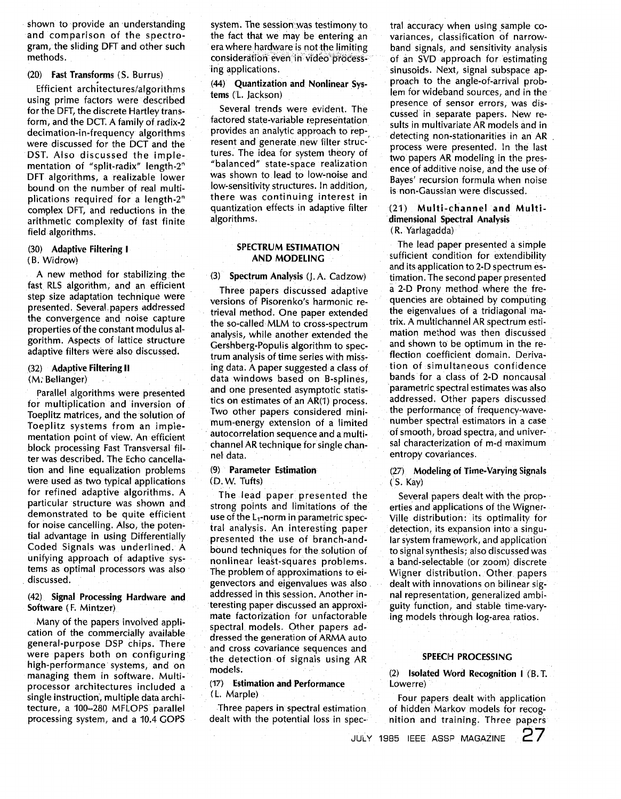shown to provide an understanding and comparison of the spectrogram, the sliding DFT and other such methods.

#### (20) Fast Transforms (S. Burrus)

Efficient architectures/algorithms using prime factors were described for the DFT, the discrete Hartley transform, and the DCT. A family of radix-2 decimation-in-frequency algorithms were discussed for the DCT and the DST. Also discussed the implementation of "split-radix" length-2" DFT algorithms, a realizable lower bound on the number of real multiplications required for a length-2" complex DFT, and reductions in the arithmetic complexity of fast finite field algorithms.

#### (30) Adaptive Filtering **I (B.** Widrow)

A new method for stabilizing the fast RLS algorithm, and an efficient step size adaptation technique were presented. Several. papers addressed the convergence and noise capture properties of the constant modulus algorithm. Aspects of lattice structure adaptive filters were also discussed.

#### (32) Adaptive Filtering **II**

(M: Bellanger)

Parallel algorithms were presented for multiplication and inversion of Toeplitz matrices, and the solution of Toeplitz systems from an implementation point of view. An efficient block processing Fast Transversal filter was described. The Echo cancellation and line equalization problems were used as two typical applications for refined adaptive algorithms. A particular structure was shown and demonstrated to be quite efficient for noise cancelling. Also, the potential advantage in using Differentially Coded Signals was underlined. A unifying approach of adaptive systems as optimal processors was also discussed.

# (42) Signal Processing Hardware and Software **(F.** Mintzer)

Many of the papers involved application of the commercially available general-purpose DSP chips. There were papers both on configuringhigh-performance' systems, and on managing them in software. Multiprocessor architectures included a single instruction', multiple data architecture, a 100-280 MFLOPS parallel processing system, and a 10.4 COPS

system. The session was testimony to the fact that we may be entering an era where hardware is not the limiting ing applications. consideration even in video process-

# (44) Quantization and Nonlinear Systems ('L. Jackson)

Several trends were evident. The factored state-variable representation provides an analytic approach to represent and generate new filter structures. The idea for system theory of "balanced" state-space realization was shown to lead to low-noise and low-sensitivity structures. In addition, there was continuing interest in quantization effects in adaptive filter algorithms.

#### SPECTRUM ESTIMATION AND MODELING

(3) Spectrum Analysis (].A. Cadzow)

Three papers discussed adaptive versions of Pisorenko's harmonic retrieval method. One paper extended the so-called MLM to cross-spectrum analysis, while another extended the Gershberg-Populis algorithm to spectrum analysis of time series with missing data. A paper suggested a class of data windows based on B-splines, and one presented asymptotic statistics on estimates of an AR(1) process. Two other papers considered minimum-energy extension of a limited autocorrelation sequence and a multichannel AR technique for single channel data.

#### (9) Parameter Estimation (D. W. Tufts)

The lead paper presented the strong points and limitations of the use of the L,-norm in parametric spectral analysis. An interesting paper presented the use of branch-andbound techniques for the solution of nonlinear least-squares problems. The problem of approximations to eigenvectors and eigenvalues was also addressed in this session. Another interesting paper discussed an approximate factorization for unfactorable spectral. models. Other papers addressed the generation of ARMA auto and cross covariance sequences and the detection of signals using AR models.

#### **(17)** Estimation and Performance (L. Marple)

Three papers in spectral estimation dealt with the potential loss in spec-- tral accuracy when using sample covariances, classification of narrowband signals, and sensitivity analysis of an SVD approach for estimating sinusoids. Next, signal subspace approach to the angle-of-arrival problem for wideband sources, and in the presence of sensor errors, was discussed in separate papers. New results in multivariate AR models and in detecting non-stationarities in an AR process were presented. In the last two papers AR modeling in the presence of additive noise, and the use of Bayes' recursion formula when noise is non-Gaussian were discussed.

# (21) Multi-channel and Multidimensional Spectral Analysis (R. Yarlagadda)

The lead paper presented a simple sufficient condition for extendibility and its application to 2-D spectrum estimation. The second paper presented a 2-D Prony method where the frequencies are obtained by computing the eigenvalues of a tridiagonal 'matrix. A multichannel AR spectrum estimation method was then discussed and shown to be optimum in the reflection coefficient domain. Derivation of simultaneous confidence bands for a class of **2-D** noncausal 'parametric spectral estimates was also addressed; Other papers discussed the performance of frequency-wavenumber spectral estimators in a case of smooth, broad spectra, and universal characterization of m-d maximum entropy covariances.

# (27) Modeling **of** Time-Varying Signals ("S. Kay)

Several papers dealt with the properties and applications of the Wigner-Ville distribution: its optimality for detection, its expansion into a singular system framework, and application to signal synthesis; also discussed was a band-selectable (or zoom) discrete Wigner distribution. Other. papers dealt with innovations on bilinear signal representation, generalized ambiguity function, and stable time-varying models through log-area ratios.

#### SPEECH PROCESSING

(2) Isolated Word Recognition **I** (B.T. Lowerre)

Four papers dealt with application of hidden Markov models for recognition and training. Three papers

JULY **1985** IEEE ASSP MAGAZINE **<sup>d</sup>**/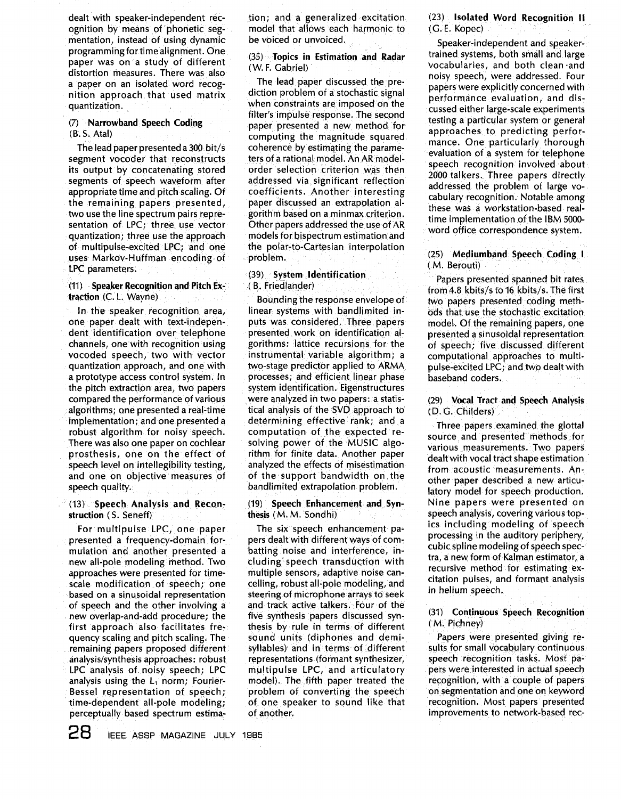dealt with speaker-independent recognition by means of phonetic segmentation, instead of using dynamic programming for time alignment. One paper was on a study of different distortion measures. There was also a paper on an isolated word recognition approach that used matrix quantization.

## (7) Narrowband Speech Coding  $(B. S. Atal)$

The lead paper presented a 300 bit/s segment vocoder that reconstructs its output by concatenating stored segments of speech waveform after appropriate time and pitch scaling. Of the remaining papers presented, two use the line spectrum pairs representation of LPC; three use vector quantization; three use the approach of multipulse-excited LPC; and one uses Markov-Huffman encoding of LPC parameters.

#### (11) Speaker Recognition and Pitch Extraction (C. L. Wayne)

In the speaker recognition area, one paper dealt with text-independent identification over telephone channels, one with recognition using vocoded speech, two with vector quantization approach, and one with a prototype access control system. In the pitch extraction area, two papers compared the performance of various algorithms; one presented a real-time implementation; and one presented a robust algorithm for noisy speech. There was also one paper on cochlear prosthesis, one on the effect of speech level on intellegibility testing, and one on objective measures of speech quality.

# (13) Speech Analysis and Reconstruction (S. Seneff)

For multipulse LPC, one paper presented a frequency-domain formulation and another presented a new all-pole modeling method. Two approaches were presented for timescale modification of speech: one based on a sinusoidal representation of speech and the other involving a new overlap-and-add procedure; the first approach also facilitates frequency scaling and pitch scaling. The remaining papers proposed different analysis/synthesis approaches: robust LPC analysis of noisy speech; LPC analysis using the  $L_1$  norm; Fourier-Bessel representation of speech; time-dependent all-pole modeling; perceptually based spectrum estimation; and a generalized excitation model that allows each harmonic to be voiced or unvoiced.

# (35) Topics in Estimation and Radar (W. F. Gabriel)

The lead paper discussed the prediction problem of a stochastic signal when constraints are imposed on the filter's impulse response. The second paper presented a new method for computing the magnitude squared coherence by estimating the parameters of a rational model. An AR modelorder selection criterion was then addressed via significant reflection coefficients. Another interesting paper discussed an extrapolation algorithm based on a minmax criterion. Other papers addressed the use of AR models for bispectrum estimation and the polar-to-Cartesian interpolation problem.

# (39) System Identification (B. Friedlander)

Bounding the response envelope of linear systems with bandlimited inputs was considered. Three papers presented work on identification algorithms: lattice recursions for the instrumental variable algorithm; a two-stage predictor applied to ARMA processes; and efficient linear phase system identification. Eigenstructures were analyzed in two papers: a statistical analysis of the SVD approach to determining effective rank; and a computation of the expected resolving power of the MUSIC algorithm for finite data. Another paper analyzed the effects of misestimation of the support bandwidth on the bandlimited extrapolation problem.

#### (19) Speech Enhancement and Synthesis (M. M. Sondhi)

The six speech enhancement papers dealt with different ways of combatting noise and interference, including speech transduction with multiple sensors, adaptive noise cancelling, robust all-pole modeling, and steering of microphone arrays to seek and track active talkers. Four of the five synthesis papers discussed synthesis by rule in terms of different sound units (diphones and demisyllables) and in terms of different representations (formant synthesizer, multipulse LPC, and articulatory model). The fifth paper treated the problem of converting the speech of one speaker to sound like that of another.

(23) Isolated Word Recognition II (G. E. Kopec)

Speaker-independent and speakertrained systems, both small and large vocabularies, and both clean and noisy speech, were addressed. Four papers were explicitly concerned with performance evaluation, and discussed either large-scale experiments testing a particular system or general approaches to predicting performance. One particularly thorough evaluation of a system for telephone speech recognition involved about 2000 talkers. Three papers directly addressed the problem of large vocabulary recognition. Notable among these was a workstation-based realtime implementation of the IBM 5000word office correspondence system.

# (25) Mediumband Speech Coding I (M. Berouti)

Papers presented spanned bit rates from 4.8 kbits/s to 16 kbits/s. The first two papers presented coding methods that use the stochastic excitation model. Of the remaining papers, one presented a sinusoidal representation of speech; five discussed different computational approaches to multipulse-excited LPC; and two dealt with baseband coders.

# (29) Vocal Tract and Speech Analysis (D. G. Childers)

Three papers examined the glottal source and presented methods for various measurements. Two papers dealt with vocal tract shape estimation from acoustic measurements. Another paper described a new articulatory model for speech production. Nine papers were presented on speech analysis, covering various topics including modeling of speech processing in the auditory periphery, cubic spline modeling of speech spectra, a new form of Kalman estimator, a recursive method for estimating excitation pulses, and formant analysis in helium speech.

# (31) Continuous Speech Recognition (M. Pichney)

Papers were presented giving results for small vocabulary continuous speech recognition tasks. Most papers were interested in actual speech recognition, with a couple of papers on segmentation and one on keyword recognition. Most papers presented improvements to network-based rec-

28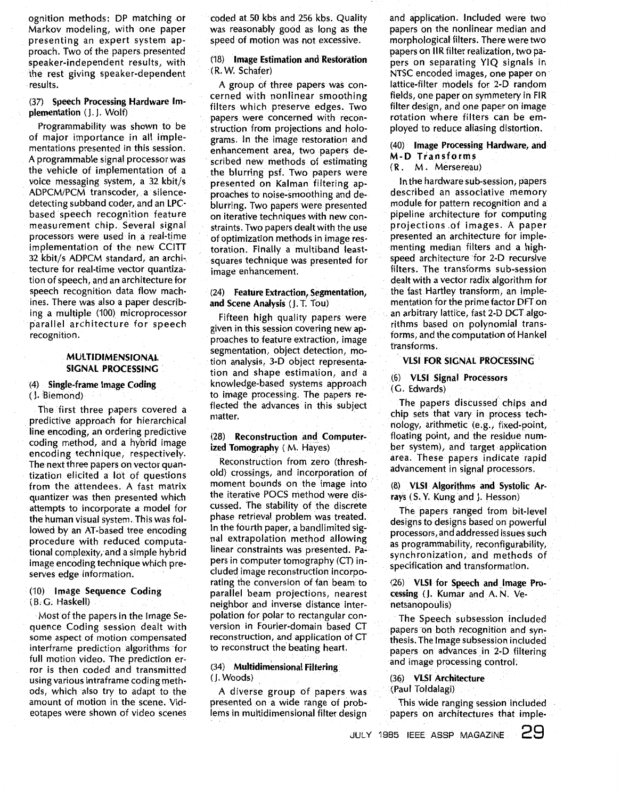ognition methods: DP matching or Markov modeling, with one paper presenting an expert system approach. Two of the papers presented speaker-independent results, with the rest giving speaker-dependent results.

#### **(37)** Speech Processing Hardware Implementation (1. I. Wolf)

Programmability was shown to be of major importance in all implementations presented in this session. A programmable signal processor was the vehicle of implementation of a voice messaging system, a **32** kbit/s ADPCM/PCM transcoder, a silencedetecting subband coder, and an LPCbased speech recognition feature measurement chip. Several signal processors were used in a real-time implementation of the new CCITT **32** kbit/s ADPCM standard, an archi-, tecture for real-time vector quantization of speech, and an architecture for speech recognition data flow machines. There was also a paper describing a multiple (100) microprocessor parallel architecture for speech recognition.

#### MULTIDIMENSIONAL SIGNAL PROCESSING

# **(4)** Single-frame Image Coding

# (1. Biemond)

The first three papers covered a predictive approach for hierarchical line encoding, an ordering predictive coding method, and a hybrid image encoding technique, respectively. The next three papers on vector quantization elicited a lot of questions from the attendees. A fast matrix quantizer was then presented which attempts to incorporate a model for the human visual system. This was followed by an AT-based tree encoding procedure with reduced computational complexity, and a simple hybrid image encoding technique which preserves edge information.

#### **(IO)** Image Sequence Coding (B; *G.* Haskell)

Most of the papers in the Image Sequence Coding session dealt with some aspect of motion compensated interframe prediction algorithms for full motion video. The prediction error is then coded and transmitted using various intraframe coding methods, which also try to adapt to the amount of motion in the scene. Videotapes were shown of video scenes coded at **50** kbs and **256** kbs. Quality was reasonably good as long as the speed of motion was not excessive.

# (18) Image Estimation and Restoration (R. W. Schafer)

A group of three papers was concerned with nonlinear smoothing filters which preserve edges. Two papers were concerned with reconstruction from projections and holograms. In the image restoration and enhancement area, two papers described new methods of estimating the blurring psf. Two papers were presented on Kalman filtering approaches to noise-smoothing and deblurring. Two papers were presented on iterative techniques with new constraints. Two papers dealt with the use of optimization methods in image restoration. Finally a multiband leastsquares technique was presented for image enhancement.

# **(24)** Feature Extraction, Segmentation, and Scene Analysis **(J.** T. Tou)

Fifteen high quality papers were given in this session covering new approaches to feature extraction, image segmentation, object detection, motion analysis, **3-D** object representation and shape estimation, and a knowledge-based systems approach to image processing. The papers reflected the advances in this subject matter.

# **(28)** Reconstruction and Computerized Tomography ( M. Hayes)

Reconstruction from zero (threshold) crossings, and incorporation of moment bounds on the image into the iterative POCS method were discussed. The stability of the discrete phase retrieval problem was treated. In the fourth paper, a bandlimited signal extrapolation method allowing linear constraints was presented. Papers in computer tomography (CT) included image reconstruction incorporating the conversion of fan beam to parallel beam projections, nearest neighbor and inverse distance interpolation for polar to rectangular conversion in Fourier-domain based CT reconstruction, and application of CT to reconstruct the beating heart.

#### **(34)** Multidimensional Filtering, (1. Woods)

A diverse group of papers was presented on a wide range of problems in multidimensional filter design and application. Included were two papers on the nonlinear median and morphological filters. There were two papers on IIR filter realization, two papers on separating YIQ signals in NTSC encoded images, one paper on lattice-filter models for 2-D random fields, one paper on symmetery in FIR filter design, and one paper on image rotation where filters can be employed to reduce aliasing distortion.

# (40) Image Processing Hardware, and **M-D Transforms**

(R. M. Mersereau)

In the hardware sub-session, papers described an associative memory module for pattern recognition and a pipeline architecture for computing projections of images. A paper presented an architecture for implementing median filters and a highspeed architecture for 2-D recursive filters. The transforms sub-session dealt with a vector radix algorithm for the fast Hartley transform, an implementation for the prime factor DFT on an arbitrary lattice, fast 2-D DCT algorithms based on polynomial transforms; and the computation of Hankel transforms.

# **VLSI FOR SIGNAL PROCESSING**

# (6) VLSI Signal Processors

(G. Edwards)

The papers discussed chips and chip sets that vary in process technology, arithmetic (e.g., fixed-point, floating point, and the residue number system), and target application area. These papers indicate rapid advancement in signal processors.

(8) VLSI Algorithms and Systolic Arrays (S.Y. Kung and J. Hesson)

The papers ranged from bit-level designs to designs based on powerful processors, and addressed issues such as programmability, reconfigurability, synchronization, and methods of specification and transformation.

(26) VLSI for Speech and Image Processing (J. Kumar and A.N. Venetsanopoulis)

The Speech subsession included papers on both recognition and synthesis. The Image subsession included papers on advances in 2-D filtering and image processing control.

#### (36) VLSI Architecture (Paul Toldalagi)

This wide ranging session included papers on architectures that imple-